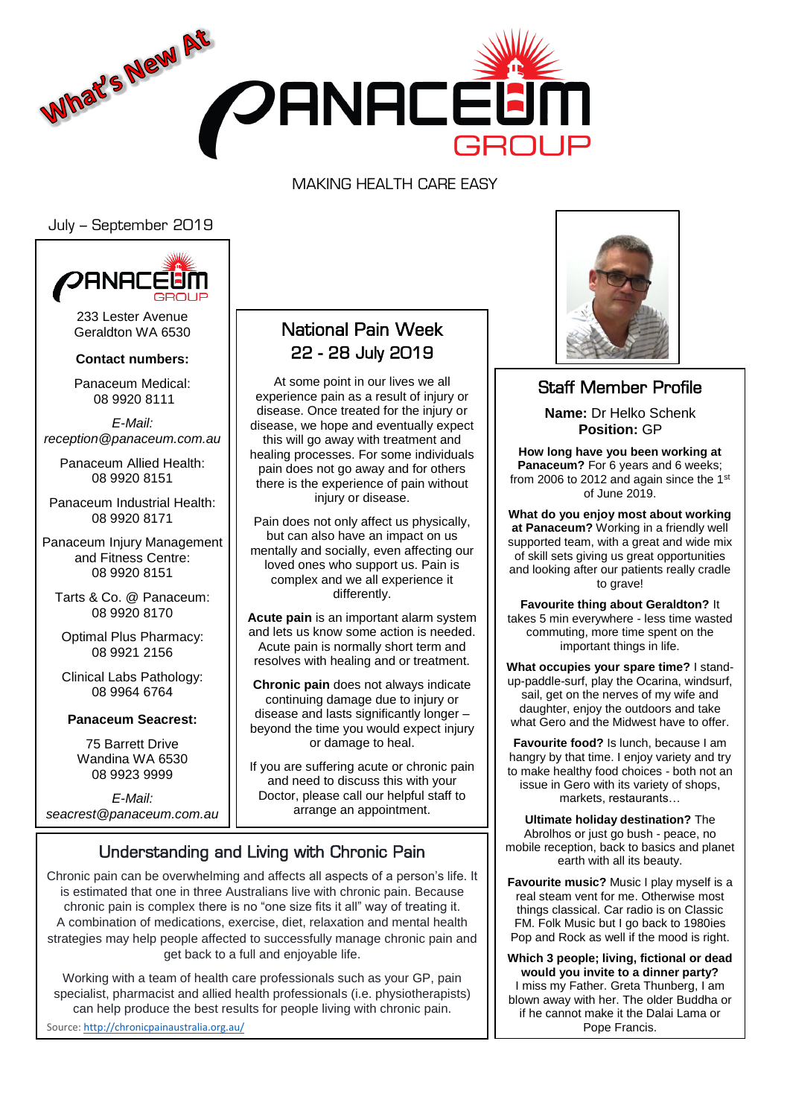

MAKING HEALTH CARE EASY

#### July – September 2019



233 Lester Avenue Geraldton WA 6530

#### **Contact numbers:**

Panaceum Medical: 08 9920 8111

*E-Mail: reception@panaceum.com.au*

Panaceum Allied Health: 08 9920 8151

Panaceum Industrial Health: 08 9920 8171

Panaceum Injury Management and Fitness Centre: 08 9920 8151

Tarts & Co. @ Panaceum: 08 9920 8170

Optimal Plus Pharmacy: 08 9921 2156

Clinical Labs Pathology: 08 9964 6764

#### **Panaceum Seacrest:**

75 Barrett Drive Wandina WA 6530 08 9923 9999

*E-Mail: seacrest@panaceum.com.au*

# National Pain Week 22 - 28 July 2019

At some point in our lives we all experience pain as a result of injury or disease. Once treated for the injury or disease, we hope and eventually expect this will go away with treatment and healing processes. For some individuals pain does not go away and for others there is the experience of pain without injury or disease.

Pain does not only affect us physically, but can also have an impact on us mentally and socially, even affecting our loved ones who support us. Pain is complex and we all experience it differently.

**Acute pain** is an important alarm system and lets us know some action is needed. Acute pain is normally short term and resolves with healing and or treatment.

**Chronic pain** does not always indicate continuing damage due to injury or disease and lasts significantly longer – beyond the time you would expect injury or damage to heal.

If you are suffering acute or chronic pain and need to discuss this with your Doctor, please call our helpful staff to arrange an appointment.

### Understanding and Living with Chronic Pain

Chronic pain can be overwhelming and affects all aspects of a person's life. It is estimated that one in three Australians live with chronic pain. Because chronic pain is complex there is no "one size fits it all" way of treating it. A combination of medications, exercise, diet, relaxation and mental health strategies may help people affected to successfully manage chronic pain and get back to a full and enjoyable life.

Working with a team of health care professionals such as your GP, pain specialist, pharmacist and allied health professionals (i.e. physiotherapists) can help produce the best results for people living with chronic pain.

Source[: http://chronicpainaustralia.org.au/](http://chronicpainaustralia.org.au/)



## Staff Member Profile

**Name:** Dr Helko Schenk **Position:** GP

**How long have you been working at Panaceum?** For 6 years and 6 weeks; from 2006 to 2012 and again since the 1st of June 2019.

**What do you enjoy most about working at Panaceum?** Working in a friendly well supported team, with a great and wide mix of skill sets giving us great opportunities and looking after our patients really cradle to grave!

**Favourite thing about Geraldton?** It takes 5 min everywhere - less time wasted commuting, more time spent on the important things in life.

**What occupies your spare time?** I standup-paddle-surf, play the Ocarina, windsurf, sail, get on the nerves of my wife and daughter, enjoy the outdoors and take what Gero and the Midwest have to offer.

**Favourite food?** Is lunch, because I am hangry by that time. I enjoy variety and try to make healthy food choices - both not an issue in Gero with its variety of shops, markets, restaurants…

**Ultimate holiday destination?** The Abrolhos or just go bush - peace, no mobile reception, back to basics and planet earth with all its beauty.

**Favourite music?** Music I play myself is a real steam vent for me. Otherwise most things classical. Car radio is on Classic FM. Folk Music but I go back to 1980ies Pop and Rock as well if the mood is right.

**Which 3 people; living, fictional or dead would you invite to a dinner party?** I miss my Father. Greta Thunberg, I am blown away with her. The older Buddha or if he cannot make it the Dalai Lama or Pope Francis.